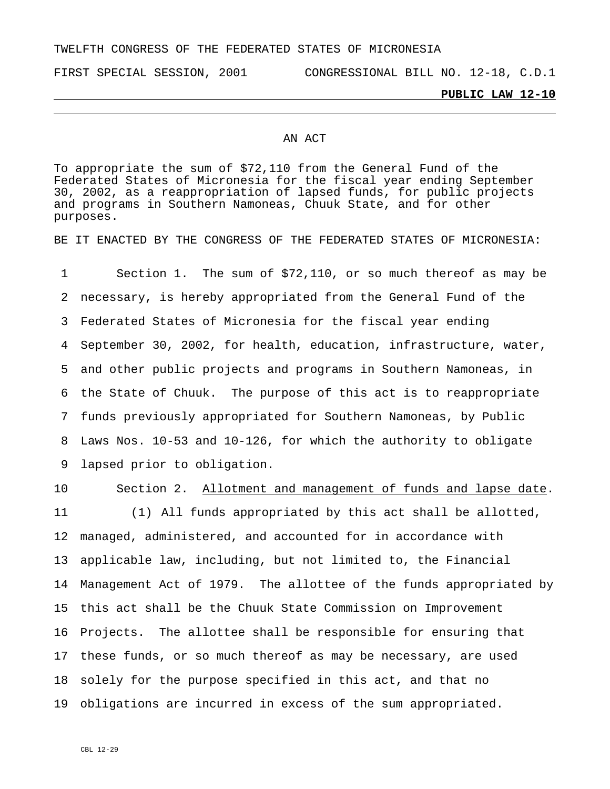# TWELFTH CONGRESS OF THE FEDERATED STATES OF MICRONESIA

FIRST SPECIAL SESSION, 2001 CONGRESSIONAL BILL NO. 12-18, C.D.1

### **PUBLIC LAW 12-10**

#### AN ACT

To appropriate the sum of \$72,110 from the General Fund of the Federated States of Micronesia for the fiscal year ending September 30, 2002, as a reappropriation of lapsed funds, for public projects and programs in Southern Namoneas, Chuuk State, and for other purposes.

BE IT ENACTED BY THE CONGRESS OF THE FEDERATED STATES OF MICRONESIA:

1 2 3 4 5 6 7 8 9 Section 1. The sum of \$72,110, or so much thereof as may be necessary, is hereby appropriated from the General Fund of the Federated States of Micronesia for the fiscal year ending September 30, 2002, for health, education, infrastructure, water, and other public projects and programs in Southern Namoneas, in the State of Chuuk. The purpose of this act is to reappropriate funds previously appropriated for Southern Namoneas, by Public Laws Nos. 10-53 and 10-126, for which the authority to obligate lapsed prior to obligation.

## 10 Section 2. Allotment and management of funds and lapse date.

11 12 13 14 Management Act of 1979. The allottee of the funds appropriated by 15 this act shall be the Chuuk State Commission on Improvement 16 Projects. The allottee shall be responsible for ensuring that 17 these funds, or so much thereof as may be necessary, are used 18 19 obligations are incurred in excess of the sum appropriated. (1) All funds appropriated by this act shall be allotted, managed, administered, and accounted for in accordance with applicable law, including, but not limited to, the Financial solely for the purpose specified in this act, and that no